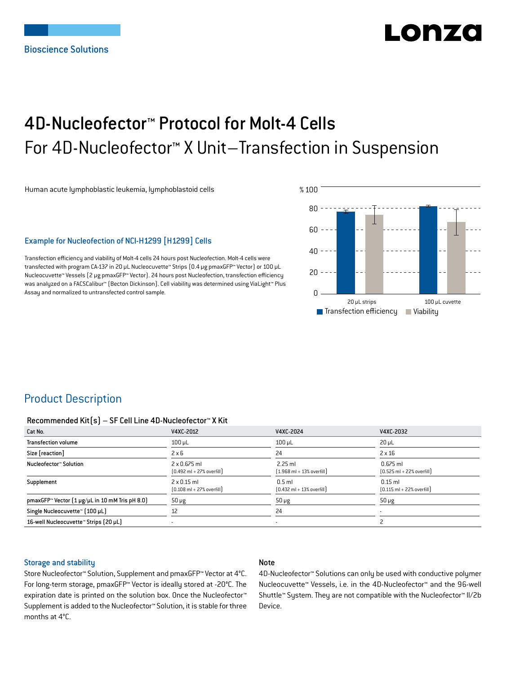# LONZ

## 4D-Nucleofector™ Protocol for Molt-4 Cells For 4D-Nucleofector™ X Unit–Transfection in Suspension

Human acute lymphoblastic leukemia, lymphoblastoid cells

## Example for Nucleofection of NCI-H1299 [H1299] Cells

Transfection efficiency and viability of Molt-4 cells 24 hours post Nucleofection. Molt-4 cells were transfected with program CA-137 in 20 μL Nucleocuvette™ Strips (0.4 μg pmaxGFP™ Vector) or 100 μL Nucleocuvette™ Vessels (2 μg pmaxGFP™ Vector). 24 hours post Nucleofection, transfection efficiency was analyzed on a FACSCalibur™ (Becton Dickinson). Cell viability was determined using ViaLight™ Plus Assay and normalized to untransfected control sample.



## Product Description

#### Recommended Kit(s) – SF Cell Line 4D-Nucleofector™ X Kit

| Cat No.                                                    | V4XC-2012                                                           | V4XC-2024                                                 | V4XC-2032                                                  |
|------------------------------------------------------------|---------------------------------------------------------------------|-----------------------------------------------------------|------------------------------------------------------------|
| <b>Transfection volume</b>                                 | $100$ $\mu$ L                                                       | $100$ $\mu$ L                                             | $20 \mu L$                                                 |
| Size [reaction]                                            | $2 \times 6$                                                        | 24                                                        | $2 \times 16$                                              |
| Nucleofector™ Solution                                     | $2 \times 0.675$ ml<br>$[0.492 \text{ ml} + 27\% \text{ overfill}]$ | $2.25$ ml<br>$[1.968 \text{ ml} + 13\% \text{ overfill}]$ | $0.675$ ml<br>$[0.525 \text{ ml} + 22\% \text{ overfill}]$ |
| Supplement                                                 | $2 \times 0.15$ ml<br>$[0.108 \text{ ml} + 27\% \text{ overfill}]$  | $0.5$ ml<br>$[0.432 \text{ ml} + 13\% \text{ overfill}]$  | $0.15$ ml<br>$[0.115 \text{ ml} + 22\% \text{ overfill}]$  |
| pmaxGFP <sup>™</sup> Vector (1 µg/µL in 10 mM Tris pH 8.0) | $50 \mu g$                                                          | $50 \mu g$                                                | $50 \mu g$                                                 |
| Single Nucleocuvette™ [100 µL]                             | 12                                                                  | 24                                                        | $\overline{\phantom{a}}$                                   |
| 16-well Nucleocuvette™ Strips (20 µL)                      |                                                                     | $\overline{\phantom{a}}$                                  |                                                            |

#### Storage and stability

## Note

Store Nucleofector™ Solution, Supplement and pmaxGFP™ Vector at 4°C. For long-term storage, pmaxGFP™ Vector is ideally stored at -20°C. The expiration date is printed on the solution box. Once the Nucleofector™ Supplement is added to the Nucleofector™ Solution, it is stable for three months at 4°C.

4D-Nucleofector™ Solutions can only be used with conductive polymer Nucleocuvette™ Vessels, i.e. in the 4D-Nucleofector™ and the 96-well Shuttle™ System. They are not compatible with the Nucleofector™ II/2b Device.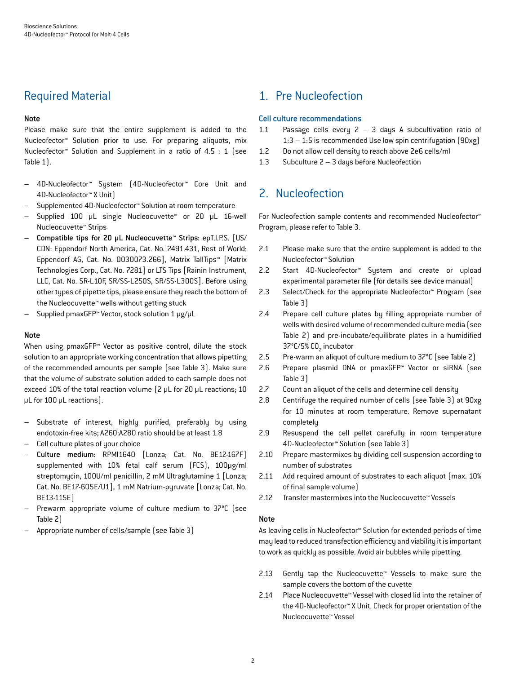## Required Material

## Note

Please make sure that the entire supplement is added to the Nucleofector™ Solution prior to use. For preparing aliquots, mix Nucleofector™ Solution and Supplement in a ratio of 4.5 : 1 (see Table 1).

- 4D-Nucleofector™ System (4D-Nucleofector™ Core Unit and 4D-Nucleofector™ X Unit)
- Supplemented 4D-Nucleofector™ Solution at room temperature
- Supplied 100 μL single Nucleocuvette™ or 20 μL 16-well Nucleocuvette™ Strips
- Compatible tips for 20 μL Nucleocuvette™ Strips: epT.I.P.S. [US/ CDN: Eppendorf North America, Cat. No. 2491.431, Rest of World: Eppendorf AG, Cat. No. 0030073.266], Matrix TallTips™ [Matrix Technologies Corp., Cat. No. 7281] or LTS Tips [Rainin Instrument, LLC, Cat. No. SR-L10F, SR/SS-L250S, SR/SS-L300S]. Before using other types of pipette tips, please ensure they reach the bottom of the Nucleocuvette™ wells without getting stuck
- Supplied pmaxGFP™ Vector, stock solution 1 μg/μL

#### Note

When using pmaxGFP™ Vector as positive control, dilute the stock solution to an appropriate working concentration that allows pipetting of the recommended amounts per sample (see Table 3). Make sure that the volume of substrate solution added to each sample does not exceed 10% of the total reaction volume (2 μL for 20 μL reactions; 10 μL for 100 μL reactions).

- Substrate of interest, highly purified, preferably by using endotoxin-free kits; A260:A280 ratio should be at least 1.8
- Cell culture plates of your choice
- Culture medium: RPMI1640 [Lonza; Cat. No. BE12-167F] supplemented with 10% fetal calf serum (FCS), 100μg/ml streptomycin, 100U/ml penicillin, 2 mM Ultraglutamine 1 [Lonza; Cat. No. BE17-605E/U1], 1 mM Natrium-pyruvate [Lonza; Cat. No. BE13-115E]
- Prewarm appropriate volume of culture medium to 37°C (see Table 2)
- Appropriate number of cells/sample (see Table 3)

## 1. Pre Nucleofection

## Cell culture recommendations

- 1.1 Passage cells every  $2 3$  days A subcultivation ratio of 1:3 – 1:5 is recommended Use low spin centrifugation (90xg)
- 1.2 Do not allow cell density to reach above 2e6 cells/ml
- 1.3 Subculture 2 3 days before Nucleofection

## 2. Nucleofection

For Nucleofection sample contents and recommended Nucleofector™ Program, please refer to Table 3.

- 2.1 Please make sure that the entire supplement is added to the Nucleofector™ Solution
- 2.2 Start 4D-Nucleofector™ System and create or upload experimental parameter file (for details see device manual)
- 2.3 Select/Check for the appropriate Nucleofector™ Program (see Table 3)
- 2.4 Prepare cell culture plates by filling appropriate number of wells with desired volume of recommended culture media (see Table 2) and pre-incubate/equilibrate plates in a humidified 37°C/5% CO<sub>2</sub> incubator
- 2.5 Pre-warm an aliquot of culture medium to 37°C (see Table 2)
- 2.6 Prepare plasmid DNA or pmaxGFP™ Vector or siRNA (see Table 3)
- 2.7 Count an aliquot of the cells and determine cell density
- 2.8 Centrifuge the required number of cells (see Table 3) at 90xg for 10 minutes at room temperature. Remove supernatant completely
- 2.9 Resuspend the cell pellet carefully in room temperature 4D-Nucleofector™ Solution (see Table 3)
- 2.10 Prepare mastermixes by dividing cell suspension according to number of substrates
- 2.11 Add required amount of substrates to each aliquot (max. 10%) of final sample volume)
- 2.12 Transfer mastermixes into the Nucleocuvette™ Vessels

#### Note

As leaving cells in Nucleofector™ Solution for extended periods of time may lead to reduced transfection efficiency and viability it is important to work as quickly as possible. Avoid air bubbles while pipetting.

- 2.13 Gently tap the Nucleocuvette™ Vessels to make sure the sample covers the bottom of the cuvette
- 2.14 Place Nucleocuvette™ Vessel with closed lid into the retainer of the 4D-Nucleofector™ X Unit. Check for proper orientation of the Nucleocuvette™ Vessel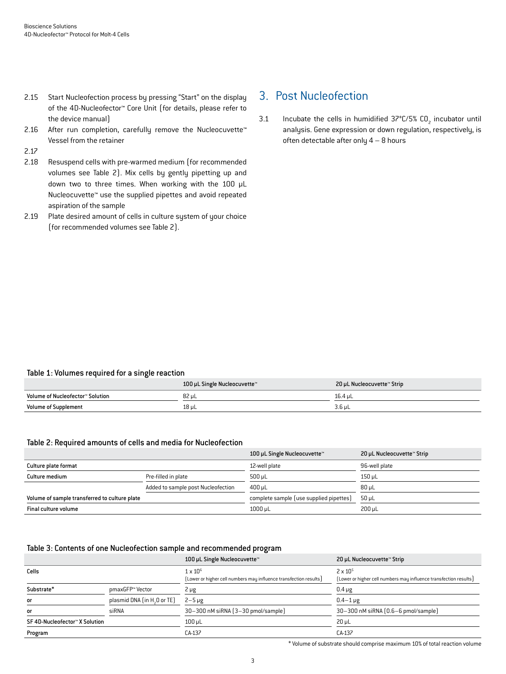- 2.15 Start Nucleofection process by pressing "Start" on the display of the 4D-Nucleofector™ Core Unit (for details, please refer to the device manual)
- 2.16 After run completion, carefully remove the Nucleocuvette<sup>™</sup> Vessel from the retainer

2.17

- 2.18 Resuspend cells with pre-warmed medium (for recommended volumes see Table 2). Mix cells by gently pipetting up and down two to three times. When working with the 100 μL Nucleocuvette™ use the supplied pipettes and avoid repeated aspiration of the sample
- 2.19 Plate desired amount of cells in culture system of your choice (for recommended volumes see Table 2).

## 3. Post Nucleofection

3.1 Incubate the cells in humidified  $37^{\circ}$ C/5% CO<sub>2</sub> incubator until analysis. Gene expression or down regulation, respectively, is often detectable after only 4 – 8 hours

## Table 1: Volumes required for a single reaction

|                                  | 100 µL Single Nucleocuvette™ | 20 µL Nucleocuvette™ Strip |
|----------------------------------|------------------------------|----------------------------|
| Volume of Nucleofector™ Solution | 82 µL                        | 16.4 uL                    |
| <b>Volume of Supplement</b>      | 18 µL                        | $3.6$ µL                   |

#### Table 2: Required amounts of cells and media for Nucleofection

|                                               |                                    | 100 µL Single Nucleocuvette™            | 20 µL Nucleocuvette™ Strip |
|-----------------------------------------------|------------------------------------|-----------------------------------------|----------------------------|
| Culture plate format                          |                                    | 12-well plate                           | 96-well plate              |
| Culture medium                                | Pre-filled in plate                | $500 \mu L$                             | 150 uL                     |
|                                               | Added to sample post Nucleofection | 400 uL                                  | 80 uL                      |
| Volume of sample transferred to culture plate |                                    | complete sample (use supplied pipettes) | 50 uL                      |
| Final culture volume                          |                                    | 1000 µL                                 | $200 \mu L$                |

## Table 3: Contents of one Nucleofection sample and recommended program

|                                |                                         | 100 µL Single Nucleocuvette™                                                         | 20 µL Nucleocuvette™ Strip                                                             |
|--------------------------------|-----------------------------------------|--------------------------------------------------------------------------------------|----------------------------------------------------------------------------------------|
| Cells                          |                                         | $1 \times 10^6$<br>[Lower or higher cell numbers may influence transfection results] | $2 \times 10^{5}$<br>[Lower or higher cell numbers may influence transfection results] |
| Substrate*                     | pmaxGFP™ Vector                         | $2 \mu g$                                                                            | $0.4 \mu g$                                                                            |
| or                             | plasmid DNA (in H <sub>2</sub> 0 or TE) | $2-5 \mu g$                                                                          | $0.4 - 1 \,\mu g$                                                                      |
| or                             | siRNA                                   | 30-300 nM siRNA (3-30 pmol/sample)                                                   | 30-300 nM siRNA (0.6-6 pmol/sample)                                                    |
| SF 4D-Nucleofector™ X Solution |                                         | $100$ $\mu$ L                                                                        | $20 \mu L$                                                                             |
| Program                        |                                         | CA-137                                                                               | CA-137                                                                                 |

\* Volume of substrate should comprise maximum 10% of total reaction volume